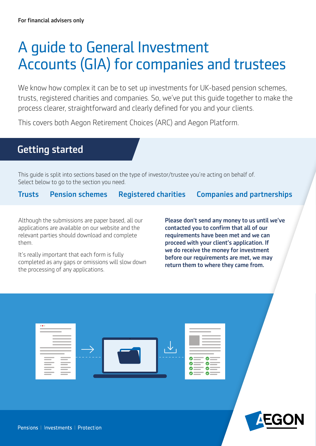## A guide to General Investment Accounts (GIA) for companies and trustees

We know how complex it can be to set up investments for UK-based pension schemes, trusts, registered charities and companies. So, we've put this guide together to make the process clearer, straightforward and clearly defned for you and your clients.

This covers both Aegon Retirement Choices (ARC) and Aegon Platform.

#### Getting started

This guide is split into sections based on the type of investor/trustee you're acting on behalf of. Select below to go to the section you need.

[Companies and partnerships](#page-4-0)  [Trusts](#page-2-0) [Pension schemes](#page-3-0) [Registered charities](#page-3-1) 

Although the submissions are paper based, all our **Please don't send any money to us until we've** applications are available on our website and the contacted you to confirm that all of our relevant parties should download and complete requirements have been met and we can them. proceed with your client's application. If

It's really important that each form is fully<br>completed as any gaps or omissions will slow down<br>the processing of any applications.<br>the processing of any applications.



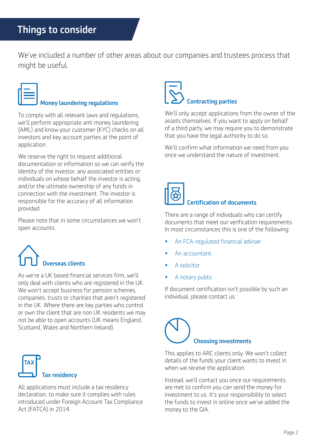We've included a number of other areas about our companies and trustees process that might be useful.

#### Money laundering regulations

To comply with all relevant laws and regulations, we'll perform appropriate anti money laundering (AML) and know your customer (KYC) checks on all investors and key account parties at the point of application.

We reserve the right to request additional documentation or information so we can verify the identity of the investor, any associated entities or individuals on whose behalf the investor is acting, and/or the ultimate ownership of any funds in connection with the investment. The investor is responsible for the accuracy of all information provided.

Please note that in some circumstances we won't open accounts.

# werseas clients

As we're a UK based financial services firm, we'll only deal with clients who are registered in the UK. We won't accept business for pension schemes, companies, trusts or charities that aren't registered in the UK. Where there are key parties who control or own the client that are non UK residents we may not be able to open accounts (UK means England, Scotland, Wales and Northern Ireland).



All applications must include a tax residency declaration, to make sure it complies with rules introduced under Foreign Account Tax Compliance Act (FATCA) in 2014.

# Contracting parties

We'll only accept applications from the owner of the assets themselves. If you want to apply on behalf of a third party, we may require you to demonstrate that you have the legal authority to do so.

We'll confirm what information we need from you once we understand the nature of investment.



#### Certifcation of documents

There are a range of individuals who can certify documents that meet our verification requirements. In most circumstances this is one of the following:

- An FCA-regulated financial adviser
- An accountant
- A solicitor
- A notary public

If document certification isn't possible by such an individual, please contact us.

# Choosing investments

This applies to ARC clients only. We won't collect details of the funds your client wants to invest in when we receive the application.

Instead, we'll contact you once our requirements are met to confirm you can send the money for investment to us. It's your responsibility to select the funds to invest in online once we've added the money to the GIA.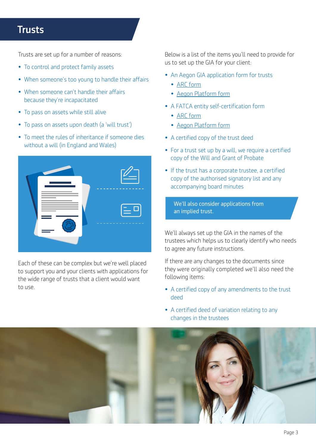### <span id="page-2-0"></span>**Trusts**

Trusts are set up for a number of reasons:

- To control and protect family assets
- When someone's too young to handle their affairs
- When someone can't handle their affairs because they're incapacitated
- To pass on assets while still alive
- To pass on assets upon death (a 'will trust')
- To meet the rules of inheritance if someone dies without a will (in England and Wales)



Each of these can be complex but we're well placed to support you and your clients with applications for the wide range of trusts that a client would want to use.

Below is a list of the items you'll need to provide for us to set up the GIA for your client:

- An Aegon GIA application form for trusts
	- [ARC form](http://aegon.co.uk/content/dam/ukpaw/documents/Aegon-gia-for-trusts-arc.pdf)
	- [Aegon Platform form](https://intermediary.aegon.co.uk/content/dam/common/documents/Aegon-gia-for-trusts.pdf)
- A FATCA entity self-certification form
	- [ARC form](https://www.aegon.co.uk/content/dam/ukpaw/documents/entity-self-certification-declaration.pdf)
	- [Aegon Platform form](https://intermediary.aegon.co.uk/content/dam/common/documents/aegon-platform-entity-self-cert.pdf)
- A certifed copy of the trust deed
- For a trust set up by a will, we require a certified copy of the Will and Grant of Probate
- If the trust has a corporate trustee, a certifed copy of the authorised signatory list and any accompanying board minutes

We'll also consider applications from an implied trust.

We'll always set up the GIA in the names of the trustees which helps us to clearly identify who needs to agree any future instructions.

If there are any changes to the documents since they were originally completed we'll also need the following items:

- A certifed copy of any amendments to the trust deed
- • A certifed deed of variation relating to any changes in the trustees

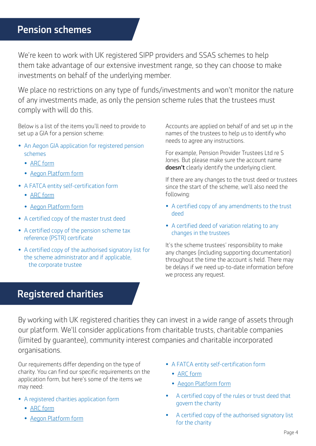### <span id="page-3-0"></span>Pension schemes

We're keen to work with UK registered SIPP providers and SSAS schemes to help them take advantage of our extensive investment range, so they can choose to make investments on behalf of the underlying member.

We place no restrictions on any type of funds/investments and won't monitor the nature of any investments made, as only the pension scheme rules that the trustees must comply with will do this.

Below is a list of the items you'll need to provide to set up a GIA for a pension scheme:

- An Aegon GIA application for registered pension schemes
	- [ARC form](https://www.aegon.co.uk/content/dam/ukpaw/documents/Aegon-gia-for-pension-schemes-arc.pdf)
	- [Aegon Platform form](https://intermediary.aegon.co.uk/content/dam/common/documents/Aegon-gia-for-pension-schemes.pdf)
- A FATCA entity self-certification form
	- [ARC form](https://www.aegon.co.uk/content/dam/ukpaw/documents/entity-self-certification-declaration.pdf)
	- [Aegon Platform form](https://intermediary.aegon.co.uk/content/dam/common/documents/aegon-platform-entity-self-cert.pdf)
- A certifed copy of the master trust deed
- A certified copy of the pension scheme tax reference (PSTR) certificate
- A certifed copy of the authorised signatory list for the scheme administrator and if applicable, the corporate trustee

Accounts are applied on behalf of and set up in the names of the trustees to help us to identify who needs to agree any instructions.

**doesn't** clearly identify the underlying client. For example, Pension Provider Trustees Ltd re S Jones. But please make sure the account name

If there are any changes to the trust deed or trustees since the start of the scheme, we'll also need the following:

- A certifed copy of any amendments to the trust deed
- • A certifed deed of variation relating to any changes in the trustees

It's the scheme trustees' responsibility to make any changes (including supporting documentation) throughout the time the account is held. There may be delays if we need up-to-date information before we process any request.

#### <span id="page-3-1"></span>Registered charities

 organisations. By working with UK registered charities they can invest in a wide range of assets through our platform. We'll consider applications from charitable trusts, charitable companies (limited by guarantee), community interest companies and charitable incorporated

Our requirements differ depending on the type of • A FATCA entity self-certification form charity. You can find our specific requirements on the • ARC form application form, but here's some of the items we eppheasion form, but nere 5 some of the nems we<br> **[Aegon Platform form](https://intermediary.aegon.co.uk/content/dam/common/documents/aegon-platform-entity-self-cert.pdf)**<br> **•** Aegon Platform form

- - [ARC form](https://www.aegon.co.uk/content/dam/ukpaw/documents/Aegon-gia-for-charities-arc.pdf)
	-
- -
	-
- A registered charities application form A certified copy of the rules or trust deed that **a** a overn the charity
	- A certified copy of the authorised signatory list<br>for the charity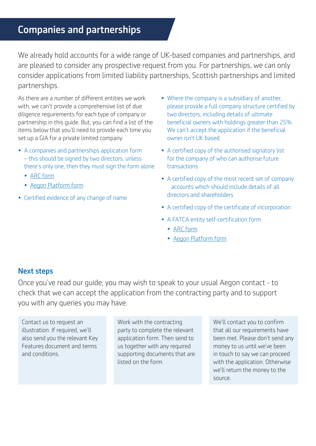#### <span id="page-4-0"></span>Companies and partnerships

We already hold accounts for a wide range of UK-based companies and partnerships, and are pleased to consider any prospective request from you. For partnerships, we can only consider applications from limited liability partnerships, Scottish partnerships and limited partnerships.

As there are a number of diferent entities we work with, we can't provide a comprehensive list of due diligence requirements for each type of company or partnership in this quide. But, you can find a list of the items below that you'll need to provide each time you set up a GIA for a private limited company.

- A companies and partnerships application form – this should be signed by two directors, unless there's only one, then they must sign the form alone
	- [ARC form](https://www.aegon.co.uk/content/dam/ukpaw/documents/Aegon-gia-for-companies-and-partnerships-arc.pdf)
	- [Aegon Platform form](https://intermediary.aegon.co.uk/content/dam/common/documents/Aegon-gia-for-companies-and-partnerships.pdf)
- Certifed evidence of any change of name
- Where the company is a subsidiary of another, please provide a full company structure certified by two directors, including details of ultimate beneficial owners with holdings greater than 25%. We can't accept the application if the beneficial owner isn't UK based
- A certifed copy of the authorised signatory list for the company of who can authorise future transactions
- A certifed copy of the most recent set of company accounts which should include details of all directors and shareholders
- A certified copy of the certificate of incorporation
- A FATCA entity self-certification form
	- [ARC form](https://www.aegon.co.uk/content/dam/ukpaw/documents/entity-self-certification-declaration.pdf)
	- [Aegon Platform form](https://intermediary.aegon.co.uk/content/dam/common/documents/aegon-platform-entity-self-cert.pdf)

#### Next steps

Once you've read our guide, you may wish to speak to your usual Aegon contact - to check that we can accept the application from the contracting party and to support you with any queries you may have.

Contact us to request an illustration. If required, we'll also send you the relevant Key Features document and terms and conditions.

Work with the contracting party to complete the relevant application form. Then send to us together with any required supporting documents that are listed on the form.

We'll contact you to confirm that all our requirements have been met. Please don't send any money to us until we've been in touch to say we can proceed with the application. Otherwise we'll return the money to the source.